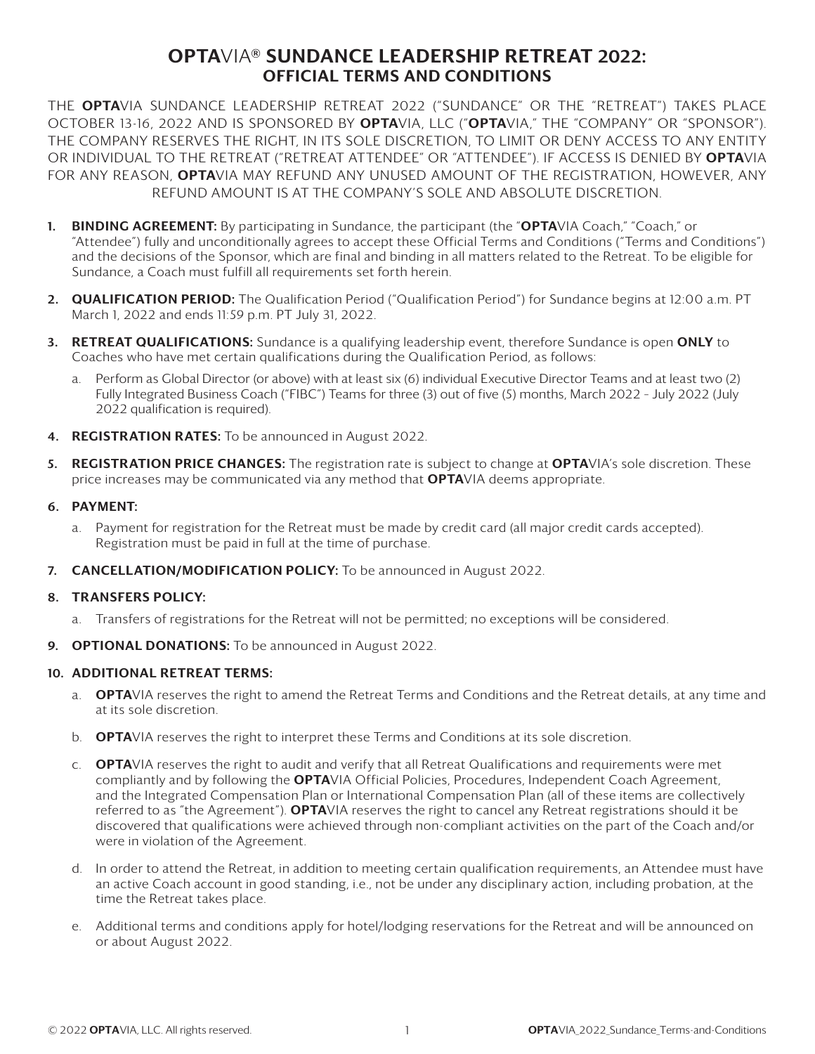## OPTAVIA® SUNDANCE LEADERSHIP RETREAT 2022: OFFICIAL TERMS AND CONDITIONS

THE OPTAVIA SUNDANCE LEADERSHIP RETREAT 2022 ("SUNDANCE" OR THE "RETREAT") TAKES PLACE OCTOBER 13-16, 2022 AND IS SPONSORED BY OPTAVIA, LLC ("OPTAVIA," THE "COMPANY" OR "SPONSOR"). THE COMPANY RESERVES THE RIGHT, IN ITS SOLE DISCRETION, TO LIMIT OR DENY ACCESS TO ANY ENTITY OR INDIVIDUAL TO THE RETREAT ("RETREAT ATTENDEE" OR "ATTENDEE"). IF ACCESS IS DENIED BY OPTAVIA FOR ANY REASON, OPTAVIA MAY REFUND ANY UNUSED AMOUNT OF THE REGISTRATION, HOWEVER, ANY REFUND AMOUNT IS AT THE COMPANY'S SOLE AND ABSOLUTE DISCRETION.

- 1. BINDING AGREEMENT: By participating in Sundance, the participant (the "OPTAVIA Coach," "Coach," or "Attendee") fully and unconditionally agrees to accept these Official Terms and Conditions ("Terms and Conditions") and the decisions of the Sponsor, which are final and binding in all matters related to the Retreat. To be eligible for Sundance, a Coach must fulfill all requirements set forth herein.
- 2. QUALIFICATION PERIOD: The Qualification Period ("Qualification Period") for Sundance begins at 12:00 a.m. PT March 1, 2022 and ends 11:59 p.m. PT July 31, 2022.
- 3. RETREAT QUALIFICATIONS: Sundance is a qualifying leadership event, therefore Sundance is open ONLY to Coaches who have met certain qualifications during the Qualification Period, as follows:
	- a. Perform as Global Director (or above) with at least six (6) individual Executive Director Teams and at least two (2) Fully Integrated Business Coach ("FIBC") Teams for three (3) out of five (5) months, March 2022 – July 2022 (July 2022 qualification is required).
- 4. REGISTRATION RATES: To be announced in August 2022.
- 5. REGISTRATION PRICE CHANGES: The registration rate is subject to change at OPTAVIA's sole discretion. These price increases may be communicated via any method that **OPTA**VIA deems appropriate.

## 6. PAYMENT:

- a. Payment for registration for the Retreat must be made by credit card (all major credit cards accepted). Registration must be paid in full at the time of purchase.
- 7. **CANCELLATION/MODIFICATION POLICY:** To be announced in August 2022.

## 8. TRANSFERS POLICY:

- a. Transfers of registrations for the Retreat will not be permitted; no exceptions will be considered.
- 9. **OPTIONAL DONATIONS:** To be announced in August 2022.

## 10. ADDITIONAL RETREAT TERMS:

- a. **OPTA**VIA reserves the right to amend the Retreat Terms and Conditions and the Retreat details, at any time and at its sole discretion.
- b. **OPTA**VIA reserves the right to interpret these Terms and Conditions at its sole discretion.
- c. OPTAVIA reserves the right to audit and verify that all Retreat Qualifications and requirements were met compliantly and by following the OPTAVIA Official Policies, Procedures, Independent Coach Agreement, and the Integrated Compensation Plan or International Compensation Plan (all of these items are collectively referred to as "the Agreement"). **OPTA**VIA reserves the right to cancel any Retreat registrations should it be discovered that qualifications were achieved through non-compliant activities on the part of the Coach and/or were in violation of the Agreement.
- d. In order to attend the Retreat, in addition to meeting certain qualification requirements, an Attendee must have an active Coach account in good standing, i.e., not be under any disciplinary action, including probation, at the time the Retreat takes place.
- e. Additional terms and conditions apply for hotel/lodging reservations for the Retreat and will be announced on or about August 2022.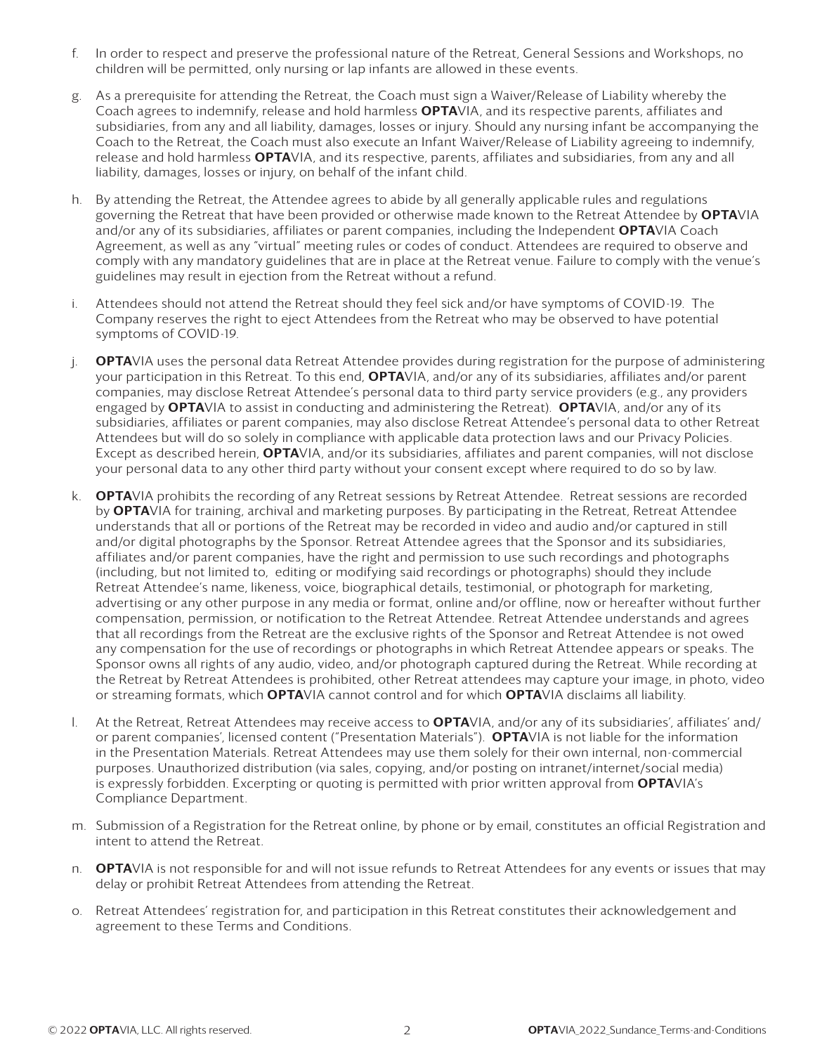- f. In order to respect and preserve the professional nature of the Retreat, General Sessions and Workshops, no children will be permitted, only nursing or lap infants are allowed in these events.
- g. As a prerequisite for attending the Retreat, the Coach must sign a Waiver/Release of Liability whereby the Coach agrees to indemnify, release and hold harmless **OPTA**VIA, and its respective parents, affiliates and subsidiaries, from any and all liability, damages, losses or injury. Should any nursing infant be accompanying the Coach to the Retreat, the Coach must also execute an Infant Waiver/Release of Liability agreeing to indemnify, release and hold harmless **OPTA**VIA, and its respective, parents, affiliates and subsidiaries, from any and all liability, damages, losses or injury, on behalf of the infant child.
- h. By attending the Retreat, the Attendee agrees to abide by all generally applicable rules and regulations governing the Retreat that have been provided or otherwise made known to the Retreat Attendee by **OPTA**VIA and/or any of its subsidiaries, affiliates or parent companies, including the Independent **OPTA**VIA Coach Agreement, as well as any "virtual" meeting rules or codes of conduct. Attendees are required to observe and comply with any mandatory guidelines that are in place at the Retreat venue. Failure to comply with the venue's guidelines may result in ejection from the Retreat without a refund.
- i. Attendees should not attend the Retreat should they feel sick and/or have symptoms of COVID-19. The Company reserves the right to eject Attendees from the Retreat who may be observed to have potential symptoms of COVID-19.
- j. **OPTA**VIA uses the personal data Retreat Attendee provides during registration for the purpose of administering your participation in this Retreat. To this end, **OPTA**VIA, and/or any of its subsidiaries, affiliates and/or parent companies, may disclose Retreat Attendee's personal data to third party service providers (e.g., any providers engaged by **OPTA**VIA to assist in conducting and administering the Retreat). **OPTA**VIA, and/or any of its subsidiaries, affiliates or parent companies, may also disclose Retreat Attendee's personal data to other Retreat Attendees but will do so solely in compliance with applicable data protection laws and our Privacy Policies. Except as described herein, **OPTA**VIA, and/or its subsidiaries, affiliates and parent companies, will not disclose your personal data to any other third party without your consent except where required to do so by law.
- k. **OPTA**VIA prohibits the recording of any Retreat sessions by Retreat Attendee. Retreat sessions are recorded by OPTAVIA for training, archival and marketing purposes. By participating in the Retreat, Retreat Attendee understands that all or portions of the Retreat may be recorded in video and audio and/or captured in still and/or digital photographs by the Sponsor. Retreat Attendee agrees that the Sponsor and its subsidiaries, affiliates and/or parent companies, have the right and permission to use such recordings and photographs (including, but not limited to, editing or modifying said recordings or photographs) should they include Retreat Attendee's name, likeness, voice, biographical details, testimonial, or photograph for marketing, advertising or any other purpose in any media or format, online and/or offline, now or hereafter without further compensation, permission, or notification to the Retreat Attendee. Retreat Attendee understands and agrees that all recordings from the Retreat are the exclusive rights of the Sponsor and Retreat Attendee is not owed any compensation for the use of recordings or photographs in which Retreat Attendee appears or speaks. The Sponsor owns all rights of any audio, video, and/or photograph captured during the Retreat. While recording at the Retreat by Retreat Attendees is prohibited, other Retreat attendees may capture your image, in photo, video or streaming formats, which **OPTA**VIA cannot control and for which **OPTA**VIA disclaims all liability.
- l. At the Retreat, Retreat Attendees may receive access to **OPTA**VIA, and/or any of its subsidiaries', affiliates' and/ or parent companies', licensed content ("Presentation Materials"). OPTAVIA is not liable for the information in the Presentation Materials. Retreat Attendees may use them solely for their own internal, non-commercial purposes. Unauthorized distribution (via sales, copying, and/or posting on intranet/internet/social media) is expressly forbidden. Excerpting or quoting is permitted with prior written approval from **OPTA**VIA's Compliance Department.
- m. Submission of a Registration for the Retreat online, by phone or by email, constitutes an official Registration and intent to attend the Retreat.
- n. **OPTA**VIA is not responsible for and will not issue refunds to Retreat Attendees for any events or issues that may delay or prohibit Retreat Attendees from attending the Retreat.
- o. Retreat Attendees' registration for, and participation in this Retreat constitutes their acknowledgement and agreement to these Terms and Conditions.